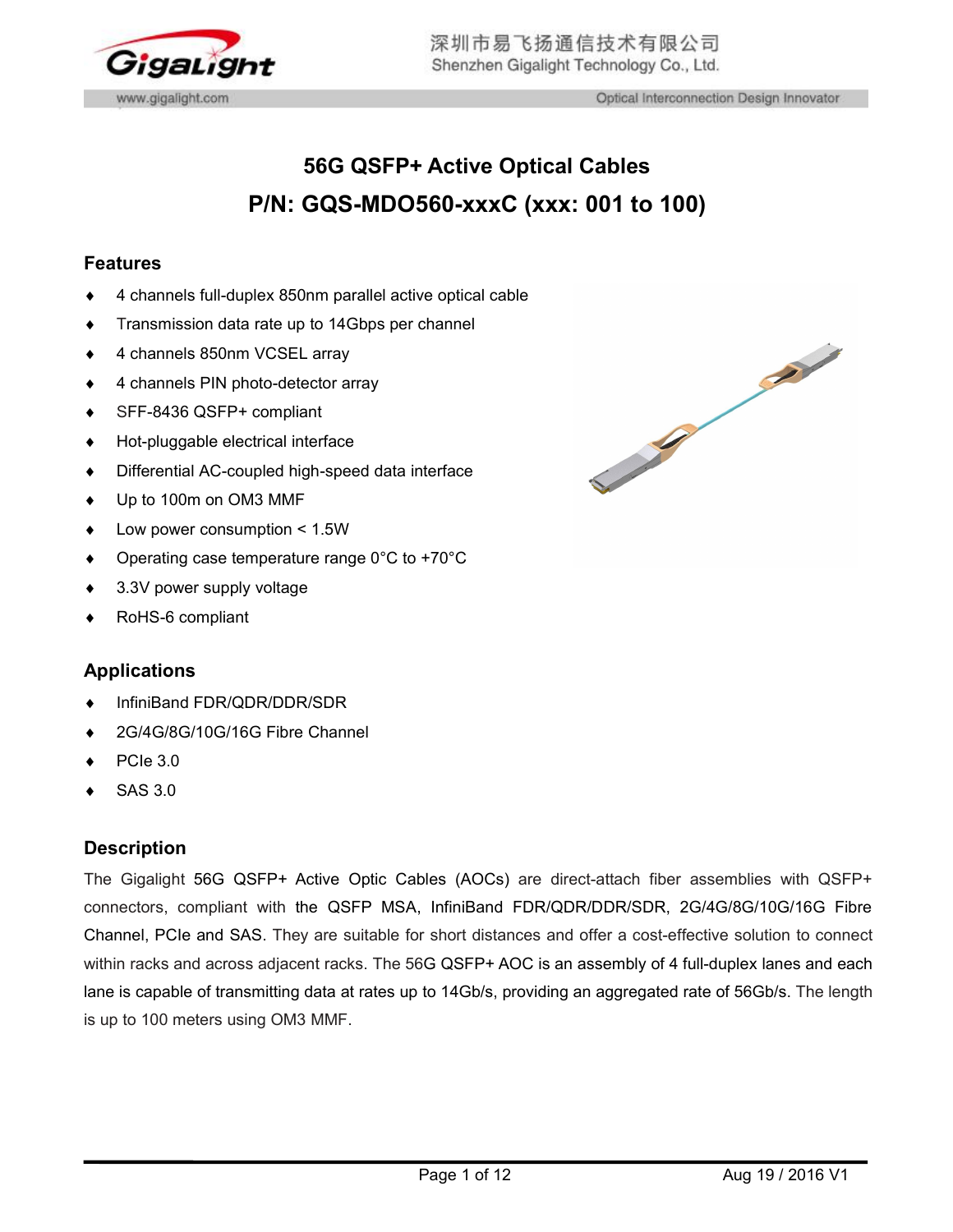

# **56G QSFP+ Active Optical Cables P/N: GQS-MDO560-xxxC (xxx: 001 to 100)**

### **Features**

- 4 channels full-duplex 850nm parallel active optical cable
- Transmission data rate up to 14Gbps per channel
- 4 channels 850nm VCSEL array
- 4 channels PIN photo-detector array
- SFF-8436 QSFP+ compliant
- Hot-pluggable electrical interface
- 
- ◆ Up to 100m on OM3 MMF
- Low power consumption < 1.5W
- Operating case temperature range 0°C to +70°C
- 3.3V power supply voltage
- RoHS-6 compliant

# **Applications**

- InfiniBand FDR/QDR/DDR/SDR
- 2G/4G/8G/10G/16G Fibre Channel
- PCIe 3.0
- SAS 3.0

### **Description**

The Gigalight 56G QSFP+ Active Optic Cables (AOCs) are direct-attach fiber assemblies with QSFP+ connectors, compliant with the QSFP MSA, InfiniBand FDR/QDR/DDR/SDR, 2G/4G/8G/10G/16G Fibre Channel, PCIe and SAS. They are suitable for short distances and offer a cost-effective solution to connect within racks and across adjacent racks. The 56G QSFP+ AOC is an assembly of 4 full-duplex lanes and each lane is capable of transmitting data at rates up to 14Gb/s, providing an aggregated rate of 56Gb/s. The length is up to 100 meters using OM3 MMF.

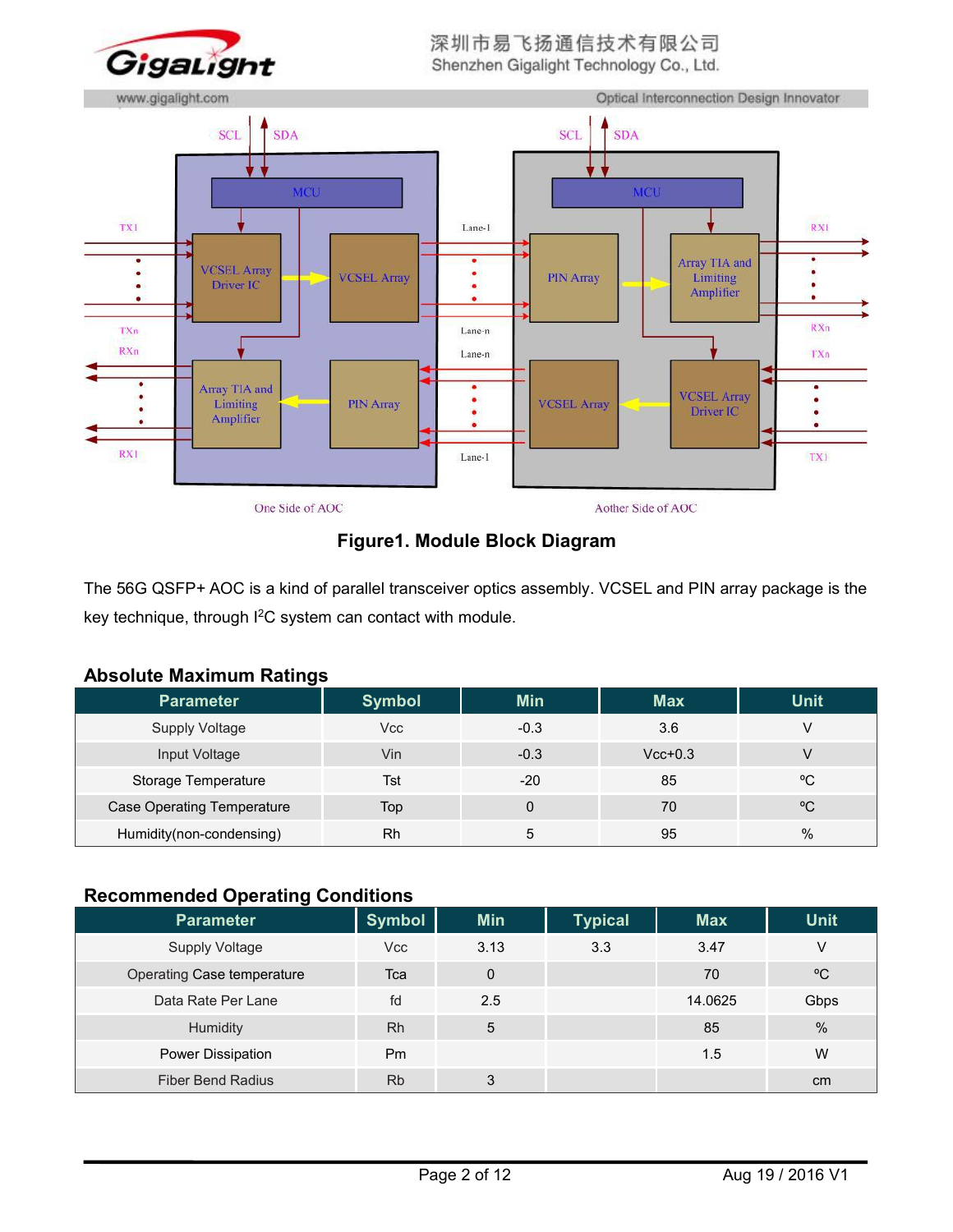

深圳市易飞扬通信技术有限公司 Shenzhen Gigalight Technology Co., Ltd.



# **Figure1. Module Block Diagram**

The 56G QSFP+ AOC is a kind of parallel transceiver optics assembly. VCSEL and PIN array package is the key technique, through I<sup>2</sup>C system can contact with module.

| ADSOIULU MUAIIIIUIII ITULIIIYS    |               |            |            |              |
|-----------------------------------|---------------|------------|------------|--------------|
| <b>Parameter</b>                  | <b>Symbol</b> | <b>Min</b> | <b>Max</b> | <b>Unit</b>  |
| <b>Supply Voltage</b>             | Vcc           | $-0.3$     | 3.6        | $\vee$       |
| Input Voltage                     | Vin           | $-0.3$     | $Vcc+0.3$  | V            |
| Storage Temperature               | Tst           | $-20$      | 85         | $\rm ^{o}C$  |
| <b>Case Operating Temperature</b> | Top           |            | 70         | $^{\circ}$ C |
| Humidity(non-condensing)          | Rh            | 5          | 95         | %            |

# **Absolute Maximum Ratings**

# **Recommended Operating Conditions**

| .<br>$\sim$ portaining obtaining the $\sim$ |               |            |                |            |              |
|---------------------------------------------|---------------|------------|----------------|------------|--------------|
| Parameter                                   | <b>Symbol</b> | <b>Min</b> | <b>Typical</b> | <b>Max</b> | <b>Unit</b>  |
| <b>Supply Voltage</b>                       | Vcc           | 3.13       | 3.3            | 3.47       | V            |
| Operating Case temperature                  | Tca           | 0          |                | 70         | $^{\circ}$ C |
| Data Rate Per Lane                          | fd            | 2.5        |                | 14.0625    | Gbps         |
| Humidity                                    | Rh            | 5          |                | 85         | %            |
| Power Dissipation                           | Pm            |            |                | 1.5        | W            |
| <b>Fiber Bend Radius</b>                    | <b>Rb</b>     | 3          |                |            | cm           |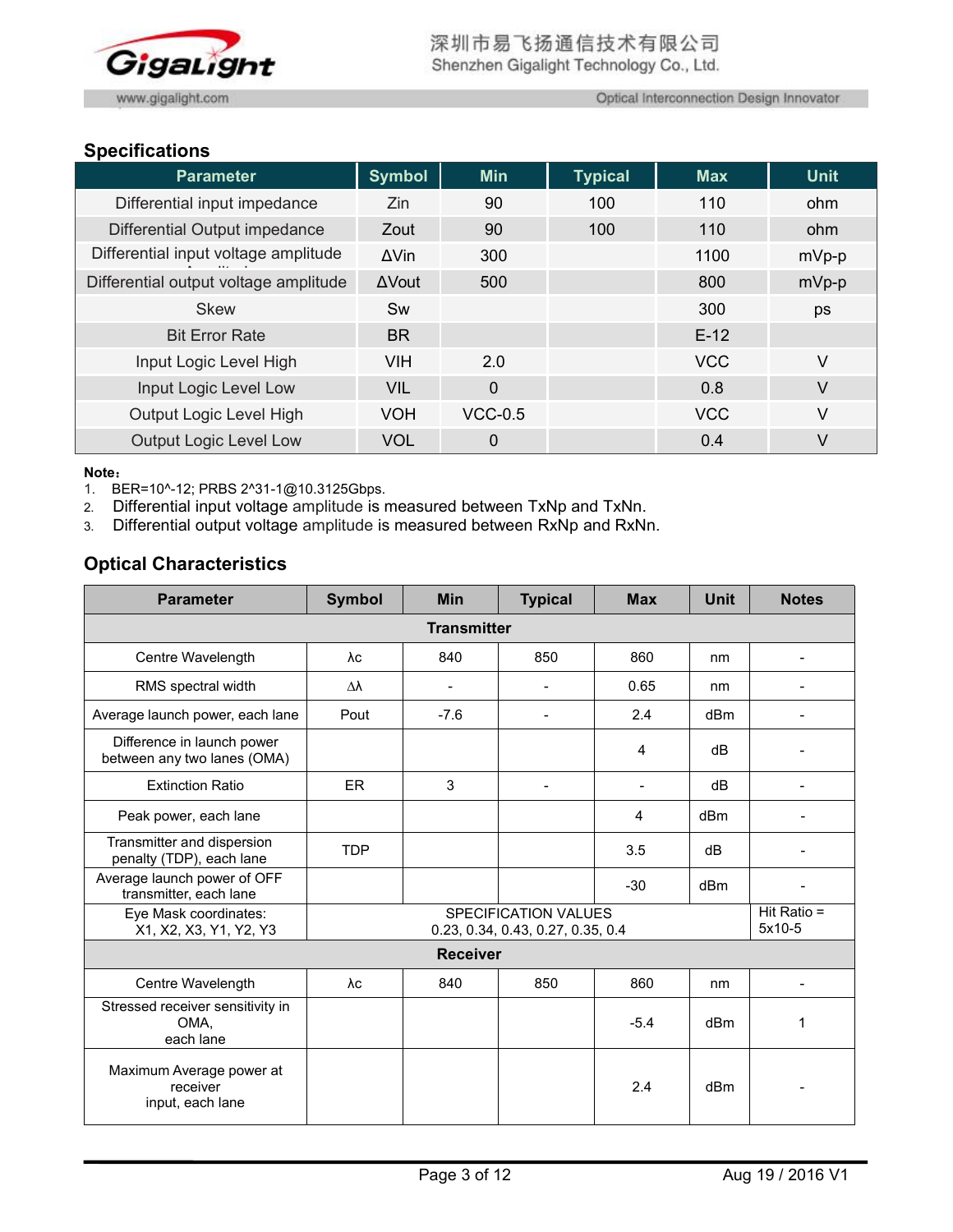

Optical Interconnection Design Innovator

# **Specifications**

| <b>Parameter</b>                      | <b>Symbol</b> | <b>Min</b>  | <b>Typical</b> | <b>Max</b> | <b>Unit</b> |
|---------------------------------------|---------------|-------------|----------------|------------|-------------|
| Differential input impedance          | Zin           | 90          | 100            | 110        | ohm         |
| Differential Output impedance         | Zout          | 90          | 100            | 110        | ohm         |
| Differential input voltage amplitude  | $\Delta$ Vin  | 300         |                | 1100       | mVp-p       |
| Differential output voltage amplitude | $\Delta$ Vout | 500         |                | 800        | $mVp-p$     |
| <b>Skew</b>                           | Sw            |             |                | 300        | ps          |
| <b>Bit Error Rate</b>                 | <b>BR</b>     |             |                | $E-12$     |             |
| Input Logic Level High                | <b>VIH</b>    | 2.0         |                | <b>VCC</b> | V           |
| Input Logic Level Low                 | <b>VIL</b>    | $\mathbf 0$ |                | 0.8        | V           |
| Output Logic Level High               | <b>VOH</b>    | $VCC-0.5$   |                | <b>VCC</b> | V           |
| <b>Output Logic Level Low</b>         | <b>VOL</b>    | $\mathbf 0$ |                | 0.4        | V           |

#### **Note**:

1. BER=10^-12; PRBS 2^31-1@10.3125Gbps.

2. Differential input voltage amplitude is measured between TxNp and TxNn.

3. Differential output voltage amplitude ismeasured between RxNp and RxNn.

# **Optical Characteristics**

| <b>Parameter</b>                                          | <b>Symbol</b>      | Min             | <b>Typical</b>                                            | <b>Max</b> | <b>Unit</b>     | <b>Notes</b>            |  |
|-----------------------------------------------------------|--------------------|-----------------|-----------------------------------------------------------|------------|-----------------|-------------------------|--|
|                                                           | <b>Transmitter</b> |                 |                                                           |            |                 |                         |  |
| Centre Wavelength                                         | λc                 | 840             | 850                                                       | 860        | nm              | $\qquad \qquad$         |  |
| RMS spectral width                                        | Δλ                 | $\blacksquare$  | $\blacksquare$                                            | 0.65       | nm              |                         |  |
| Average launch power, each lane                           | Pout               | $-7.6$          | $\overline{\phantom{a}}$                                  | 2.4        | dBm             | $\blacksquare$          |  |
| Difference in launch power<br>between any two lanes (OMA) |                    |                 |                                                           | 4          | dB              |                         |  |
| <b>Extinction Ratio</b>                                   | <b>ER</b>          | 3               | $\blacksquare$                                            |            | dB              |                         |  |
| Peak power, each lane                                     |                    |                 |                                                           | 4          | dB <sub>m</sub> |                         |  |
| Transmitter and dispersion<br>penalty (TDP), each lane    | <b>TDP</b>         |                 |                                                           | 3.5        | dB              |                         |  |
| Average launch power of OFF<br>transmitter, each lane     |                    |                 |                                                           | $-30$      | dB <sub>m</sub> |                         |  |
| Eye Mask coordinates:<br>X1, X2, X3, Y1, Y2, Y3           |                    |                 | SPECIFICATION VALUES<br>0.23, 0.34, 0.43, 0.27, 0.35, 0.4 |            |                 | Hit Ratio $=$<br>5x10-5 |  |
|                                                           |                    | <b>Receiver</b> |                                                           |            |                 |                         |  |
| Centre Wavelength                                         | λc                 | 840             | 850                                                       | 860        | nm              |                         |  |
| Stressed receiver sensitivity in<br>OMA,<br>each lane     |                    |                 |                                                           | $-5.4$     | dBm             | 1                       |  |
| Maximum Average power at<br>receiver<br>input, each lane  |                    |                 |                                                           | 2.4        | dBm             |                         |  |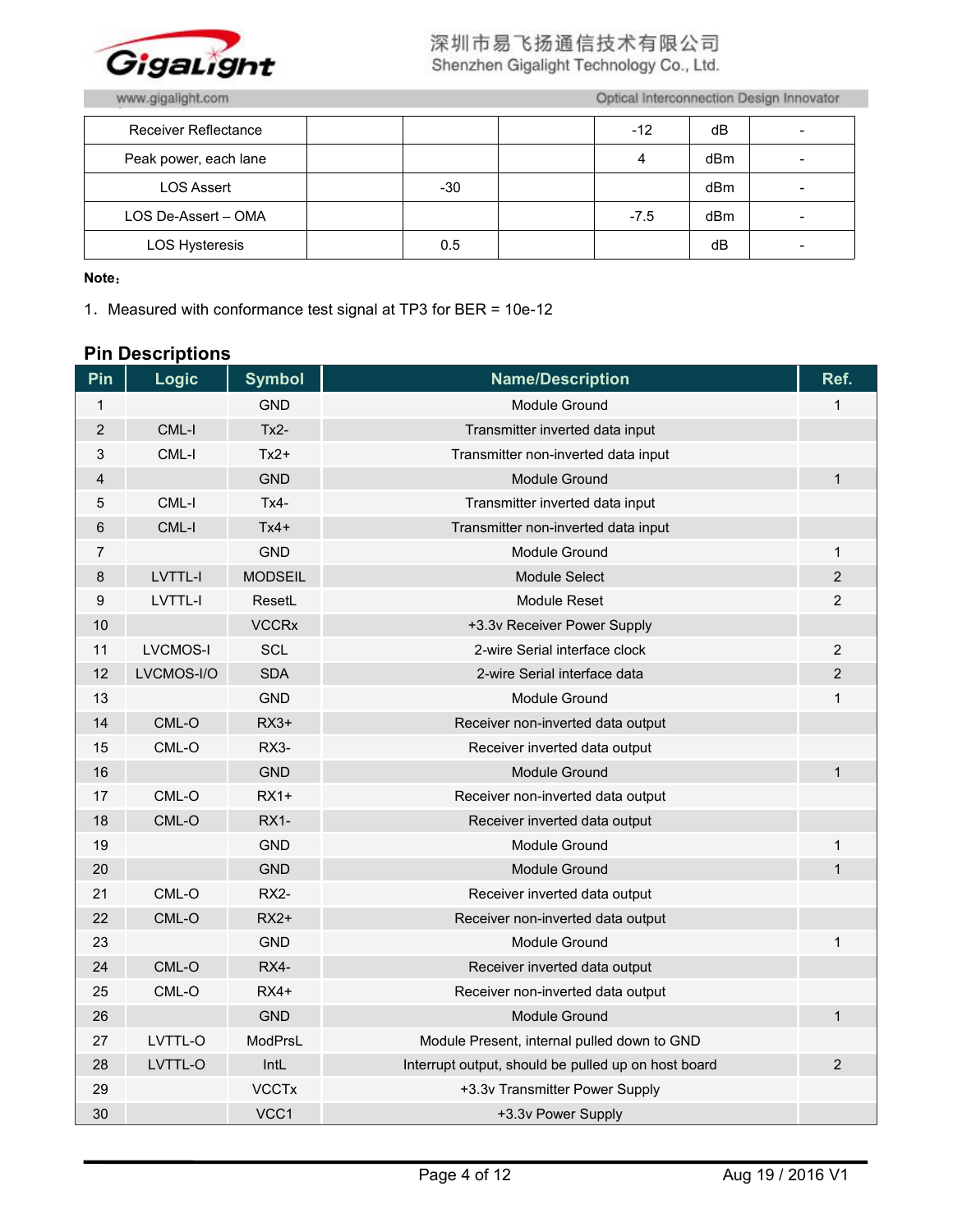

# 深圳市易飞扬通信技术有限公司 Shenzhen Gigalight Technology Co., Ltd.

www.gigalight.com

Optical Interconnection Design Innovator

| Receiver Reflectance  |       | $-12$  | dB  | - |
|-----------------------|-------|--------|-----|---|
| Peak power, each lane |       | 4      | dBm | - |
| <b>LOS Assert</b>     | $-30$ |        | dBm |   |
| LOS De-Assert - OMA   |       | $-7.5$ | dBm | - |
| <b>LOS Hysteresis</b> | 0.5   |        | dB  | - |

**Note**:

.Measured with conformance test signal at TP3 for BER = 10e-12

# **Pin Descriptions**

| Pin            | <b>Logic</b>    | <b>Symbol</b>  | <b>Name/Description</b>                             | Ref.           |
|----------------|-----------------|----------------|-----------------------------------------------------|----------------|
| $\mathbf{1}$   |                 | <b>GND</b>     | Module Ground                                       | $\mathbf{1}$   |
| $\overline{2}$ | CML-I           | $Tx2-$         | Transmitter inverted data input                     |                |
| 3              | CML-I           | $Tx2+$         | Transmitter non-inverted data input                 |                |
| 4              |                 | <b>GND</b>     | <b>Module Ground</b>                                | $\mathbf{1}$   |
| 5              | CML-I           | $Tx4-$         | Transmitter inverted data input                     |                |
| 6              | CML-I           | $Tx4+$         | Transmitter non-inverted data input                 |                |
| 7              |                 | <b>GND</b>     | <b>Module Ground</b>                                | 1              |
| 8              | <b>LVTTL-I</b>  | <b>MODSEIL</b> | Module Select                                       | $\overline{2}$ |
| 9              | <b>LVTTL-I</b>  | ResetL         | <b>Module Reset</b>                                 | $\overline{2}$ |
| 10             |                 | <b>VCCRx</b>   | +3.3v Receiver Power Supply                         |                |
| 11             | <b>LVCMOS-I</b> | <b>SCL</b>     | 2-wire Serial interface clock                       | $\overline{c}$ |
| 12             | LVCMOS-I/O      | <b>SDA</b>     | 2-wire Serial interface data                        | $\overline{c}$ |
| 13             |                 | <b>GND</b>     | Module Ground                                       | $\mathbf 1$    |
| 14             | CML-O           | $RX3+$         | Receiver non-inverted data output                   |                |
| 15             | CML-O           | RX3-           | Receiver inverted data output                       |                |
| 16             |                 | <b>GND</b>     | Module Ground                                       | $\mathbf{1}$   |
| 17             | CML-O           | $RX1+$         | Receiver non-inverted data output                   |                |
| 18             | $CML-O$         | <b>RX1-</b>    | Receiver inverted data output                       |                |
| 19             |                 | <b>GND</b>     | <b>Module Ground</b>                                | $\mathbf{1}$   |
| 20             |                 | <b>GND</b>     | Module Ground                                       | $\mathbf{1}$   |
| 21             | CML-O           | RX2-           | Receiver inverted data output                       |                |
| 22             | CML-O           | $RX2+$         | Receiver non-inverted data output                   |                |
| 23             |                 | <b>GND</b>     | Module Ground                                       | $\mathbf 1$    |
| 24             | CML-O           | RX4-           | Receiver inverted data output                       |                |
| 25             | CML-O           | $RX4+$         | Receiver non-inverted data output                   |                |
| 26             |                 | <b>GND</b>     | <b>Module Ground</b>                                | $\mathbf{1}$   |
| 27             | LVTTL-O         | ModPrsL        | Module Present, internal pulled down to GND         |                |
| 28             | LVTTL-O         | IntL           | Interrupt output, should be pulled up on host board | $\overline{2}$ |
| 29             |                 | <b>VCCTx</b>   | +3.3v Transmitter Power Supply                      |                |
| 30             |                 | VCC1           | +3.3v Power Supply                                  |                |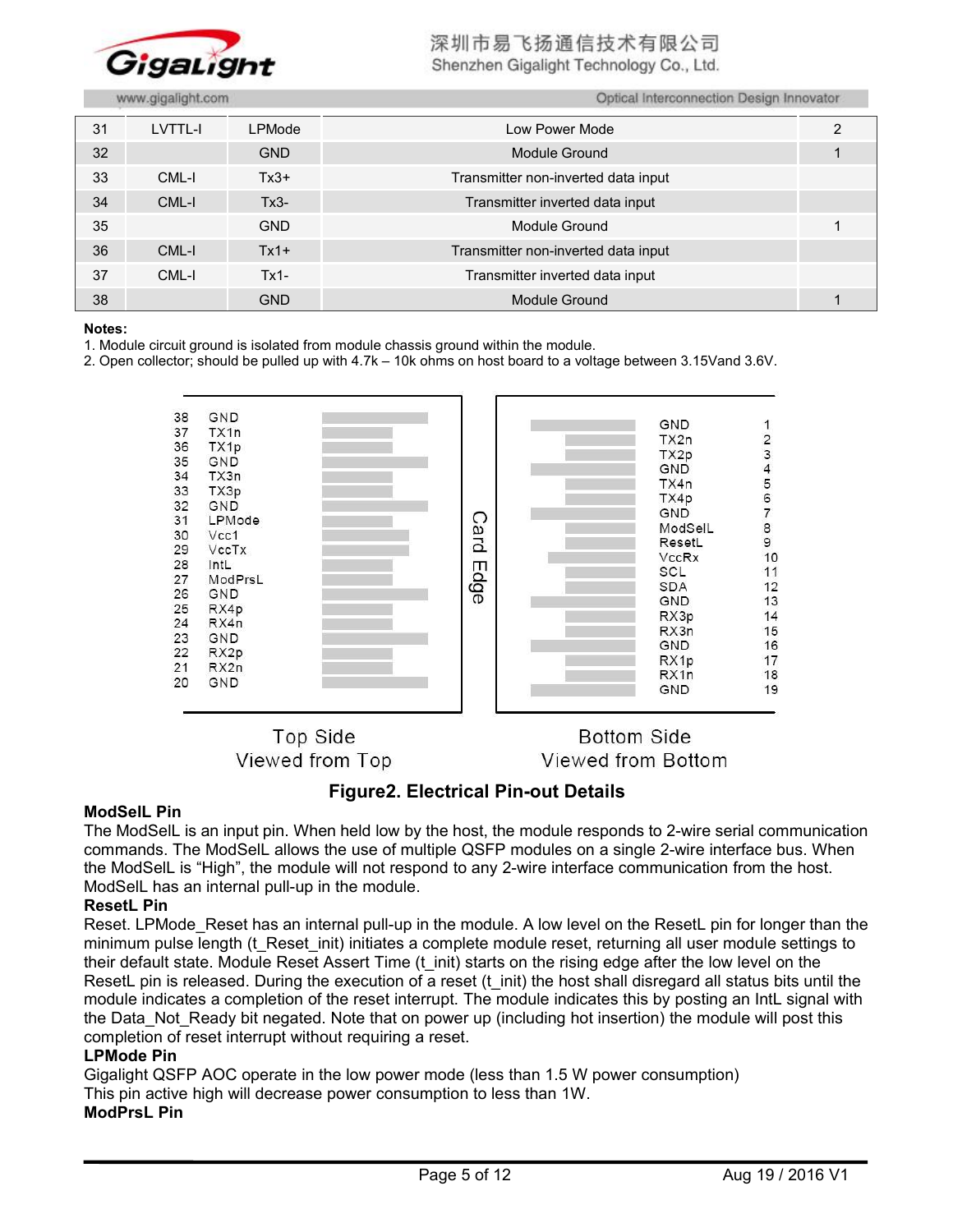

深圳市易飞扬通信技术有限公司

Shenzhen Gigalight Technology Co., Ltd.

Optical Interconnection Design Innovator

|  |  | www.gigalight.com |
|--|--|-------------------|
|  |  |                   |
|  |  |                   |
|  |  |                   |

| 31 | LVTTL-I | LPMode     | Low Power Mode                      | 2 |
|----|---------|------------|-------------------------------------|---|
| 32 |         | <b>GND</b> | Module Ground                       |   |
| 33 | CML-I   | $Tx3+$     | Transmitter non-inverted data input |   |
| 34 | CML-I   | $Tx3-$     | Transmitter inverted data input     |   |
| 35 |         | <b>GND</b> | Module Ground                       |   |
| 36 | CML-I   | $Tx1+$     | Transmitter non-inverted data input |   |
| 37 | CML-I   | $Tx1 -$    | Transmitter inverted data input     |   |
| 38 |         | <b>GND</b> | Module Ground                       |   |

#### **Notes:**

1. Module circuit ground is isolated from module chassis ground within the module.

2. Open collector; should be pulled up with 4.7k – 10k ohms on host board to a voltage between 3.15Vand 3.6V.



**Top Side** Viewed from Top

**Bottom Side** Viewed from Bottom

# **Figure2. Electrical Pin-out Details**

#### **ModSelL Pin**

The ModSelL is an input pin. When held low by the host, the module responds to 2-wire serial communication commands. The ModSelL allows the use of multiple QSFP modules on a single 2-wire interface bus. When the ModSelL is "High", the module will not respond to any 2-wire interface communication from the host. ModSelL has an internal pull-up in the module.

#### **ResetL Pin**

Reset. LPMode Reset has an internal pull-up in the module. A low level on the ResetL pin for longer than the minimum pulse length (t\_Reset\_init) initiates a complete module reset, returning all user module settings to their default state. Module Reset Assert Time (t\_init) starts on the rising edge after the low level on the ResetL pin is released. During the execution of a reset (t\_init) the host shall disregard all status bits until the module indicates a completion of the reset interrupt. The module indicates this by posting an IntL signal with the Data Not Ready bit negated. Note that on power up (including hot insertion) the module will post this completion of reset interrupt without requiring a reset.

#### **LPMode Pin**

Gigalight QSFP AOC operate in the low power mode (less than 1.5 W powerconsumption) This pin active high will decrease power consumption to less than 1W. **ModPrsL Pin**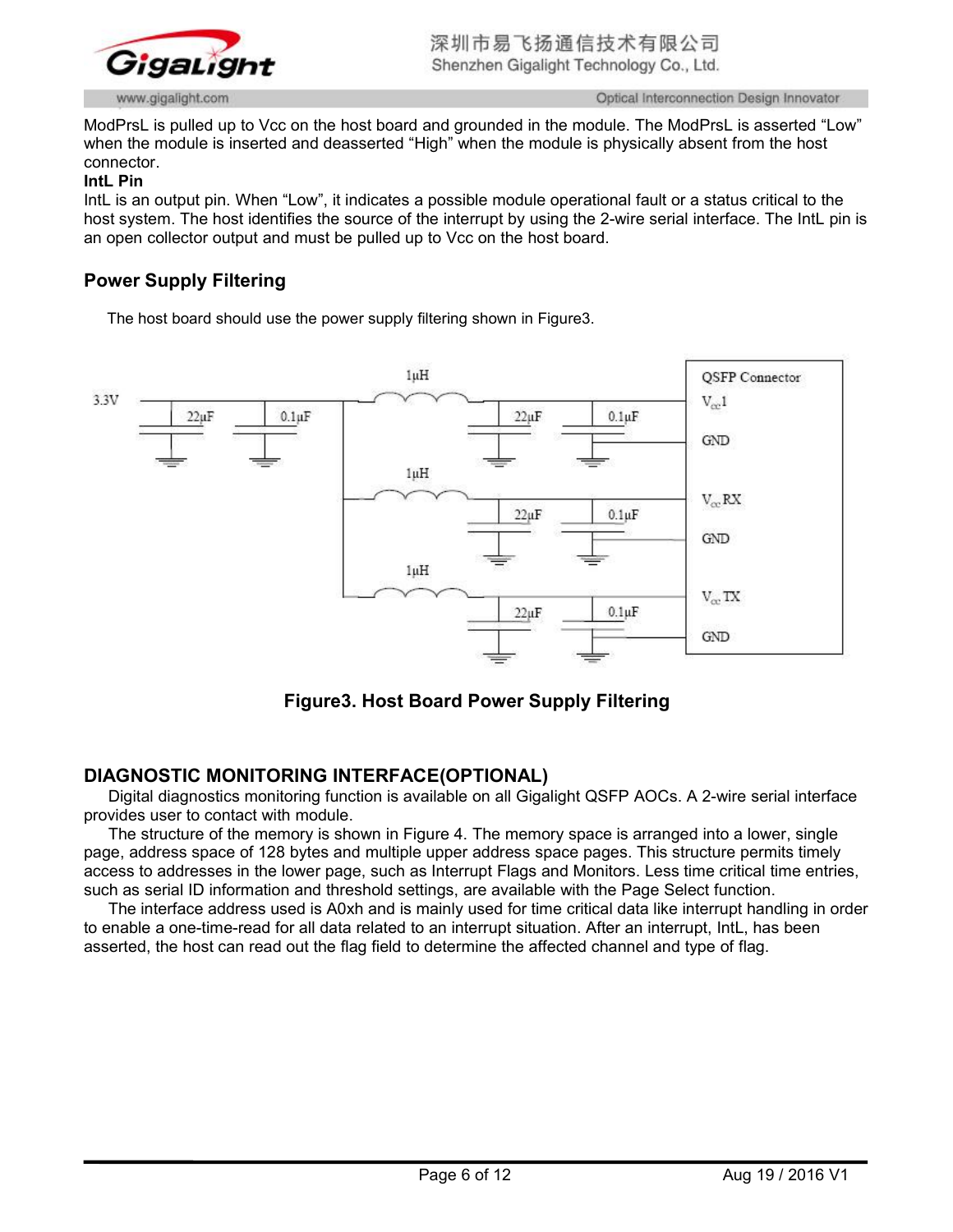

ModPrsL is pulled up to Vcc on the host board and grounded in the module. The ModPrsL is asserted "Low" when the module is inserted and deasserted "High" when the module is physically absent from the host connector.

#### **IntL Pin**

IntL is an output pin. When "Low", it indicates a possible module operational fault or a status critical to the host system. The host identifies the source of the interrupt by using the 2-wire serial interface. The IntL pin is an open collector output and must be pulled up to Vcc on the host board.

# **Power Supply Filtering**

The host board should use the power supply filtering shown in Figure3.



**Figure3. Host Board Power Supply Filtering**

# **DIAGNOSTIC MONITORING INTERFACE(OPTIONAL)**

Digital diagnostics monitoring function is available on all Gigalight QSFP AOCs. A 2-wire serial interface provides user to contact with module.

The structure of the memory is shown in Figure 4. The memory space is arranged into a lower, single page, address space of 128 bytes and multiple upper address space pages. This structure permits timely access to addresses in the lower page, such as Interrupt Flags and Monitors. Less time critical time entries, such as serial ID information and threshold settings, are available with the Page Select function.

The interface address used is A0xh and is mainly used for time critical data like interrupt handling in order to enable a one-time-read for all data related to an interrupt situation. After an interrupt, IntL, has been asserted, the host can read out the flag field to determine the affected channel and type of flag.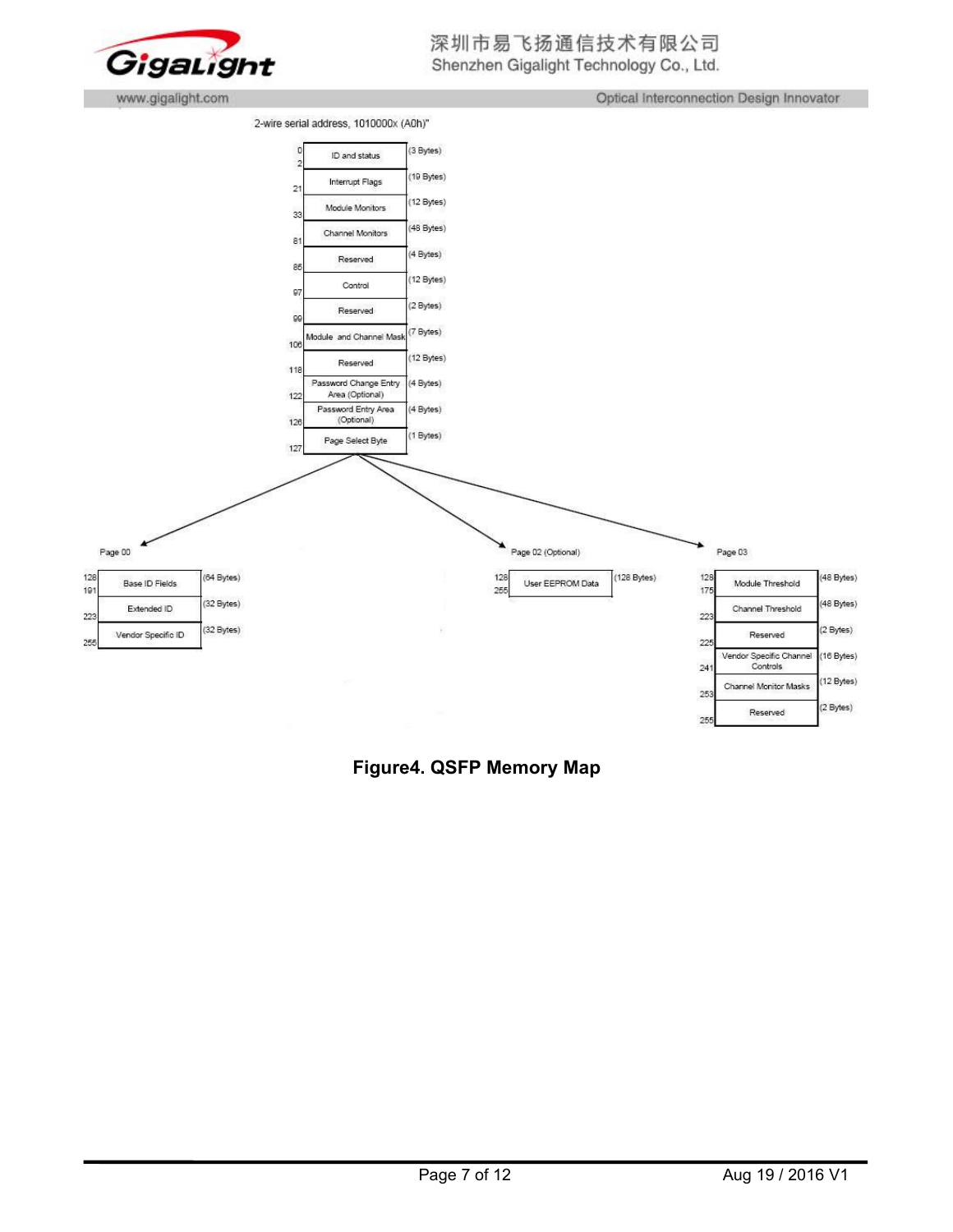

Optical Interconnection Design Innovator





**Figure4. QSFP Memory Map**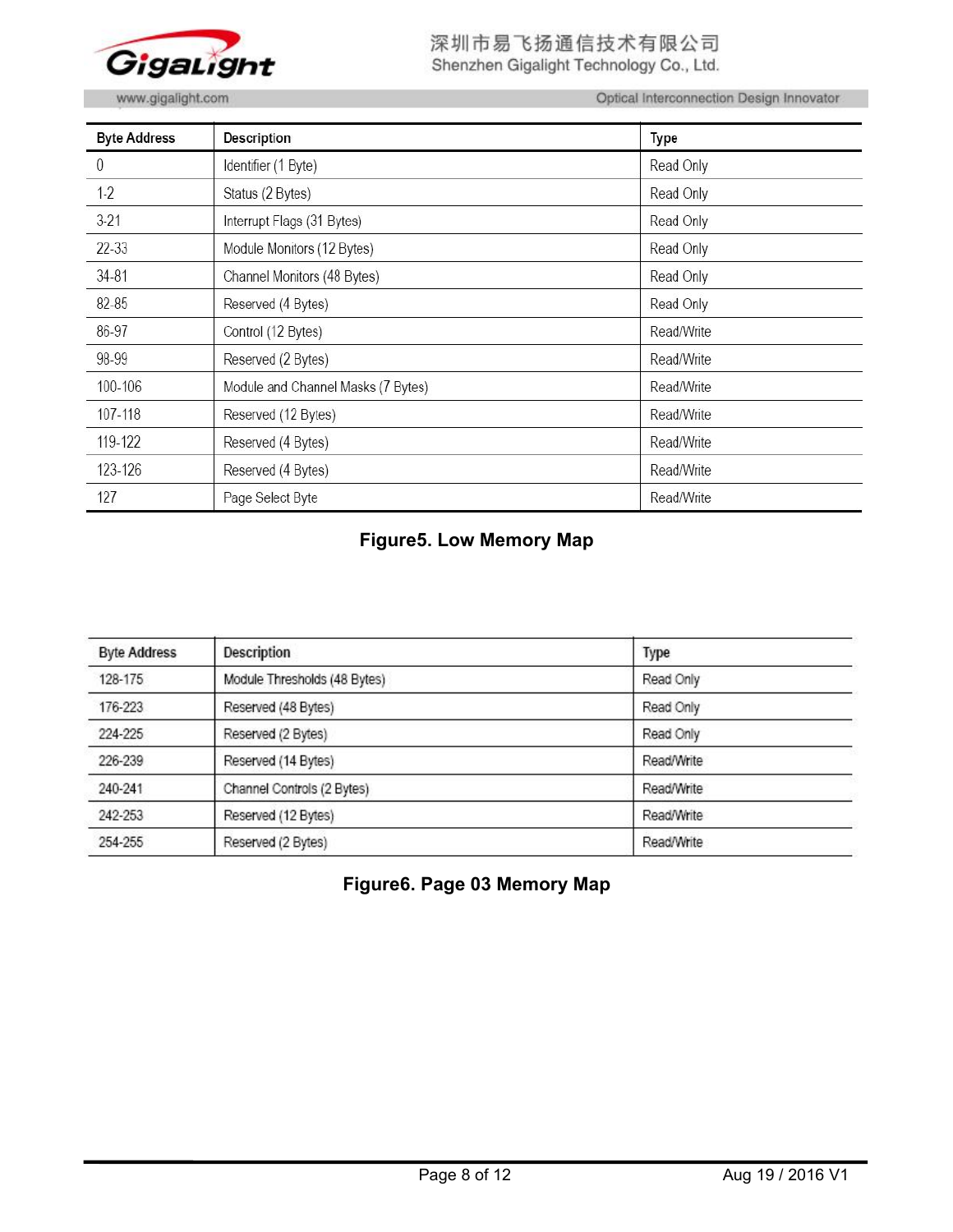

深圳市易飞扬通信技术有限公司 Shenzhen Gigalight Technology Co., Ltd.

www.gigalight.com

Optical Interconnection Design Innovator

| <b>Byte Address</b> | <b>Description</b>                 | Type       |
|---------------------|------------------------------------|------------|
| 0                   | Identifier (1 Byte)                | Read Only  |
| $1-2$               | Status (2 Bytes)                   | Read Only  |
| $3-21$              | Interrupt Flags (31 Bytes)         | Read Only  |
| 22-33               | Module Monitors (12 Bytes)         | Read Only  |
| 34-81               | Channel Monitors (48 Bytes)        | Read Only  |
| 82-85               | Reserved (4 Bytes)                 | Read Only  |
| 86-97               | Control (12 Bytes)                 | Read/Write |
| 98-99               | Reserved (2 Bytes)                 | Read/Write |
| 100-106             | Module and Channel Masks (7 Bytes) | Read/Write |
| 107-118             | Reserved (12 Bytes)                | Read/Write |
| 119-122             | Reserved (4 Bytes)                 | Read/Write |
| 123-126             | Reserved (4 Bytes)                 | Read/Write |
| 127                 | Page Select Byte                   | Read/Write |

# **Figure5. Low Memory Map**

| <b>Byte Address</b> | Description                  | Type       |
|---------------------|------------------------------|------------|
| 128-175             | Module Thresholds (48 Bytes) | Read Only  |
| 176-223             | Reserved (48 Bytes)          | Read Only  |
| 224-225             | Reserved (2 Bytes)           | Read Only  |
| 226-239             | Reserved (14 Bytes)          | Read/Write |
| 240-241             | Channel Controls (2 Bytes)   | Read/Write |
| 242-253             | Reserved (12 Bytes)          | Read/Write |
| 254-255             | Reserved (2 Bytes)           | Read/Write |

**Figure6. Page 03 Memory Map**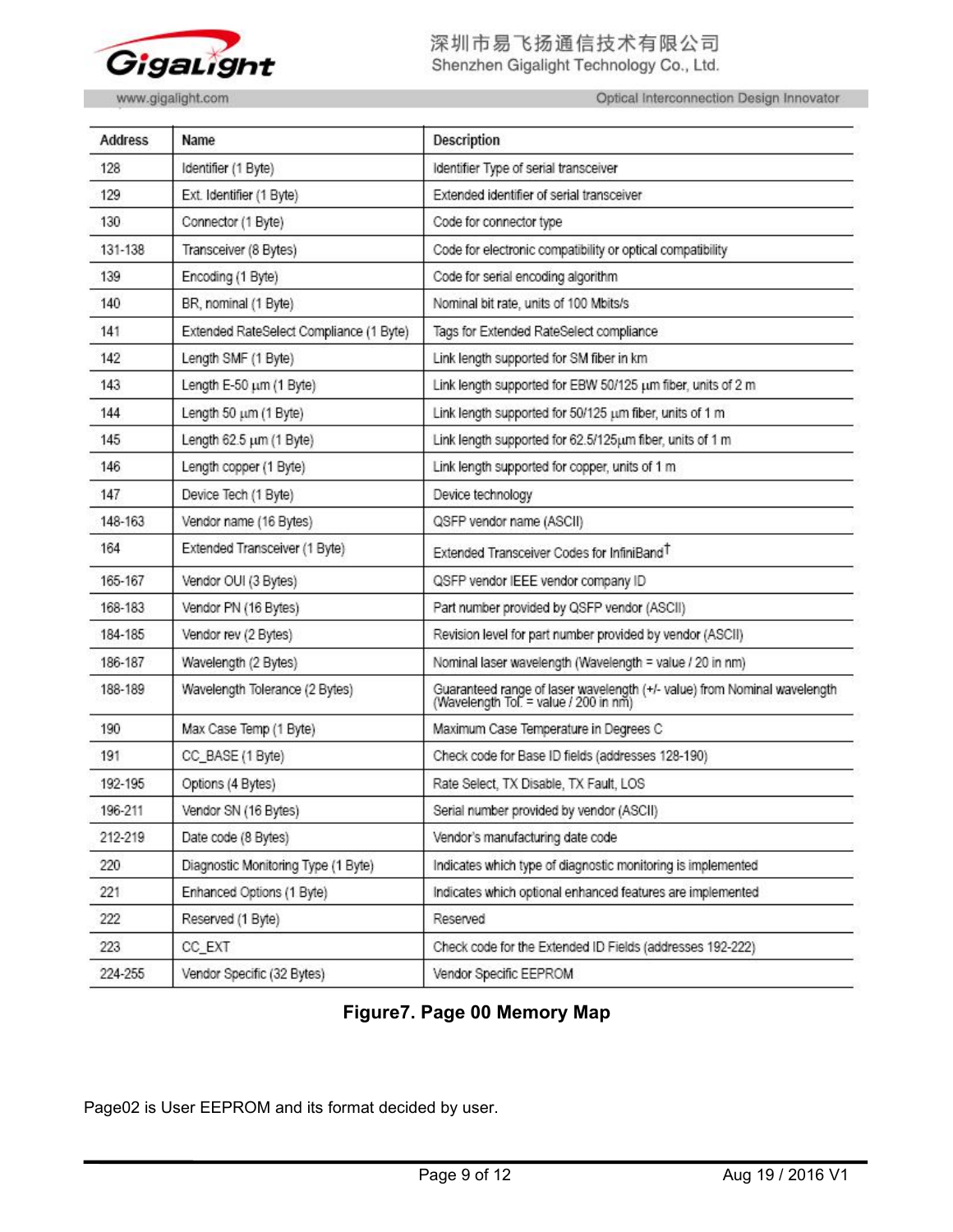

# 深圳市易飞扬通信技术有限公司 Shenzhen Gigalight Technology Co., Ltd.

Optical Interconnection Design Innovator

| <b>Address</b> | Name                                    | <b>Description</b>                                                                                                |
|----------------|-----------------------------------------|-------------------------------------------------------------------------------------------------------------------|
| 128            | Identifier (1 Byte)                     | Identifier Type of serial transceiver                                                                             |
| 129            | Ext. Identifier (1 Byte)                | Extended identifier of serial transceiver                                                                         |
| 130            | Connector (1 Byte)                      | Code for connector type                                                                                           |
| 131-138        | Transceiver (8 Bytes)                   | Code for electronic compatibility or optical compatibility                                                        |
| 139            | Encoding (1 Byte)                       | Code for serial encoding algorithm                                                                                |
| 140            | BR, nominal (1 Byte)                    | Nominal bit rate, units of 100 Mbits/s                                                                            |
| 141            | Extended RateSelect Compliance (1 Byte) | Tags for Extended RateSelect compliance                                                                           |
| 142            | Length SMF (1 Byte)                     | Link length supported for SM fiber in km                                                                          |
| 143            | Length E-50 um (1 Byte)                 | Link length supported for EBW 50/125 um fiber, units of 2 m                                                       |
| 144            | Length 50 um (1 Byte)                   | Link length supported for 50/125 um fiber, units of 1 m                                                           |
| 145            | Length 62.5 um (1 Byte)                 | Link length supported for 62.5/125um fiber, units of 1 m                                                          |
| 146            | Length copper (1 Byte)                  | Link length supported for copper, units of 1 m                                                                    |
| 147            | Device Tech (1 Byte)                    | Device technology                                                                                                 |
| 148-163        | Vendor name (16 Bytes)                  | QSFP vendor name (ASCII)                                                                                          |
| 164            | Extended Transceiver (1 Byte)           | Extended Transceiver Codes for InfiniBand <sup>T</sup>                                                            |
| 165-167        | Vendor OUI (3 Bytes)                    | QSFP vendor IEEE vendor company ID                                                                                |
| 168-183        | Vendor PN (16 Bytes)                    | Part number provided by QSFP vendor (ASCII)                                                                       |
| 184-185        | Vendor rev (2 Bytes)                    | Revision level for part number provided by vendor (ASCII)                                                         |
| 186-187        | Wavelength (2 Bytes)                    | Nominal laser wavelength (Wavelength = value / 20 in nm)                                                          |
| 188-189        | Wavelength Tolerance (2 Bytes)          | Guaranteed range of laser wavelength (+/- value) from Nominal wavelength<br>(Wavelength Tol. = value / 200 in nm) |
| 190            | Max Case Temp (1 Byte)                  | Maximum Case Temperature in Degrees C                                                                             |
| 191            | CC_BASE (1 Byte)                        | Check code for Base ID fields (addresses 128-190)                                                                 |
| 192-195        | Options (4 Bytes)                       | Rate Select, TX Disable, TX Fault, LOS                                                                            |
| 196-211        | Vendor SN (16 Bytes)                    | Serial number provided by vendor (ASCII)                                                                          |
| 212-219        | Date code (8 Bytes)                     | Vendor's manufacturing date code                                                                                  |
| 220            | Diagnostic Monitoring Type (1 Byte)     | Indicates which type of diagnostic monitoring is implemented                                                      |
| 221            | Enhanced Options (1 Byte)               | Indicates which optional enhanced features are implemented                                                        |
| 222            | Reserved (1 Byte)                       | Reserved                                                                                                          |
| 223            | CC_EXT                                  | Check code for the Extended ID Fields (addresses 192-222)                                                         |
| 224-255        | Vendor Specific (32 Bytes)              | Vendor Specific EEPROM                                                                                            |

# **Figure7. Page 00 Memory Map**

Page02 is User EEPROM and its format decided by user.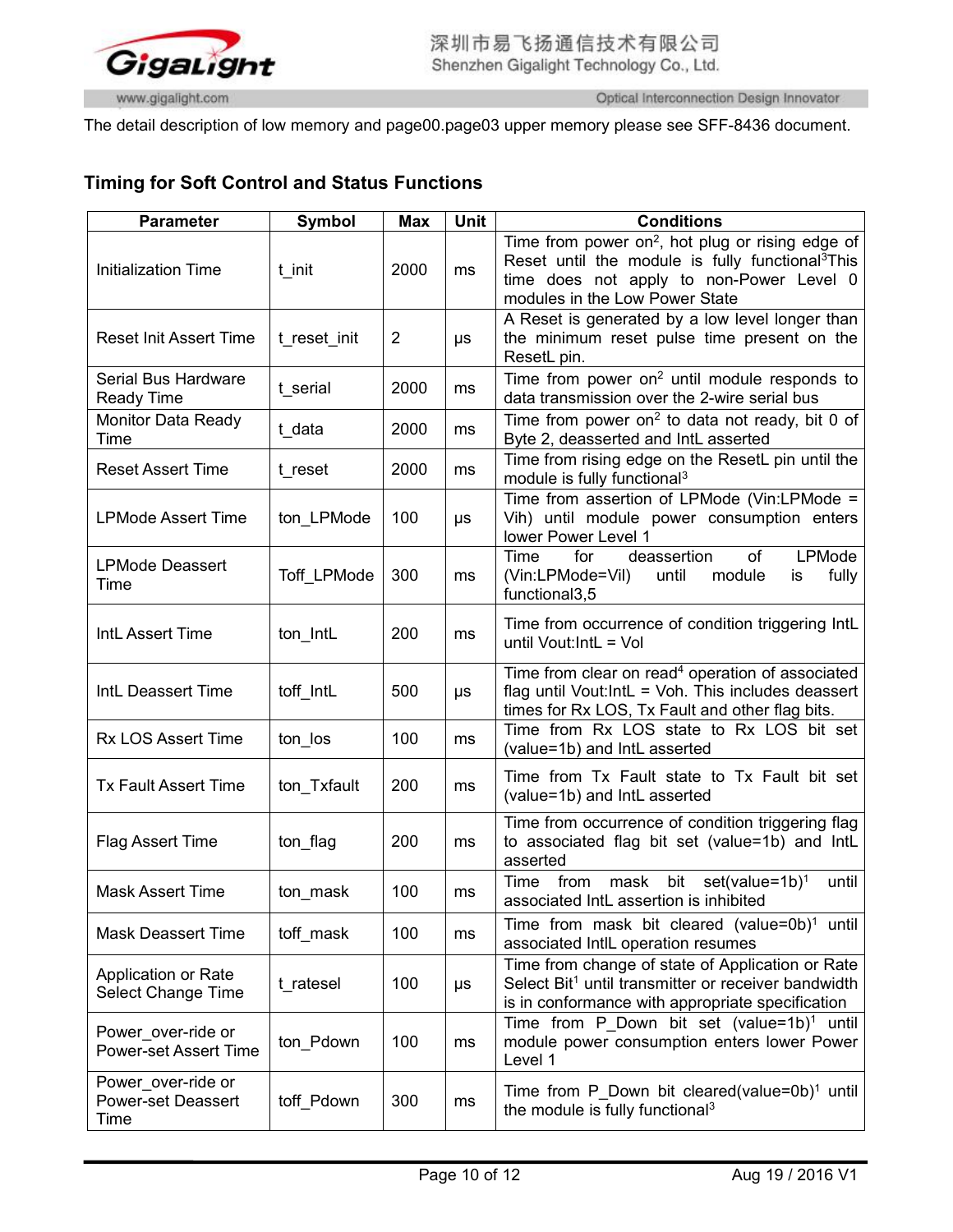

The detail description of low memory and page00.page03 upper memory please see SFF-8436 document.

# **Timing for Soft Control and Status Functions**

| <b>Parameter</b>                                        | <b>Symbol</b> | <b>Max</b>     | Unit | <b>Conditions</b>                                                                                                                                                                                          |
|---------------------------------------------------------|---------------|----------------|------|------------------------------------------------------------------------------------------------------------------------------------------------------------------------------------------------------------|
| <b>Initialization Time</b>                              | t init        | 2000           | ms   | Time from power on <sup>2</sup> , hot plug or rising edge of<br>Reset until the module is fully functional <sup>3</sup> This<br>time does not apply to non-Power Level 0<br>modules in the Low Power State |
| <b>Reset Init Assert Time</b>                           | t_reset_init  | $\overline{2}$ | μs   | A Reset is generated by a low level longer than<br>the minimum reset pulse time present on the<br>ResetL pin.                                                                                              |
| Serial Bus Hardware<br><b>Ready Time</b>                | t serial      | 2000           | ms   | Time from power on <sup>2</sup> until module responds to<br>data transmission over the 2-wire serial bus                                                                                                   |
| <b>Monitor Data Ready</b><br>Time                       | t data        | 2000           | ms   | Time from power on <sup>2</sup> to data not ready, bit 0 of<br>Byte 2, deasserted and IntL asserted                                                                                                        |
| <b>Reset Assert Time</b>                                | t reset       | 2000           | ms   | Time from rising edge on the ResetL pin until the<br>module is fully functional <sup>3</sup>                                                                                                               |
| <b>LPMode Assert Time</b>                               | ton LPMode    | 100            | μs   | Time from assertion of LPMode (Vin:LPMode =<br>Vih) until module power consumption enters<br>lower Power Level 1                                                                                           |
| <b>LPMode Deassert</b><br>Time                          | Toff LPMode   | 300            | ms   | deassertion<br>LPMode<br>for<br>of<br>Time<br>(Vin:LPMode=Vil)<br>fully<br>until<br>module<br>is<br>functional3,5                                                                                          |
| IntL Assert Time                                        | ton IntL      | 200            | ms   | Time from occurrence of condition triggering IntL<br>until Vout:IntL = Vol                                                                                                                                 |
| IntL Deassert Time                                      | toff IntL     | 500            | μs   | Time from clear on read <sup>4</sup> operation of associated<br>flag until Vout:IntL = Voh. This includes deassert<br>times for Rx LOS, Tx Fault and other flag bits.                                      |
| <b>Rx LOS Assert Time</b>                               | ton los       | 100            | ms   | Time from Rx LOS state to Rx LOS bit set<br>(value=1b) and IntL asserted                                                                                                                                   |
| <b>Tx Fault Assert Time</b>                             | ton Txfault   | 200            | ms   | Time from Tx Fault state to Tx Fault bit set<br>(value=1b) and IntL asserted                                                                                                                               |
| <b>Flag Assert Time</b>                                 | ton flag      | 200            | ms   | Time from occurrence of condition triggering flag<br>to associated flag bit set (value=1b) and IntL<br>asserted                                                                                            |
| <b>Mask Assert Time</b>                                 | ton mask      | 100            | ms   | Time from mask bit set(value=1b) <sup>1</sup><br>until<br>associated IntL assertion is inhibited                                                                                                           |
| <b>Mask Deassert Time</b>                               | toff mask     | 100            | ms   | Time from mask bit cleared (value=0b) <sup>1</sup> until<br>associated IntlL operation resumes                                                                                                             |
| Application or Rate<br><b>Select Change Time</b>        | t ratesel     | 100            | μs   | Time from change of state of Application or Rate<br>Select Bit <sup>1</sup> until transmitter or receiver bandwidth<br>is in conformance with appropriate specification                                    |
| Power_over-ride or<br><b>Power-set Assert Time</b>      | ton Pdown     | 100            | ms   | Time from P Down bit set (value=1b) <sup>1</sup> until<br>module power consumption enters lower Power<br>Level 1                                                                                           |
| Power_over-ride or<br><b>Power-set Deassert</b><br>Time | toff Pdown    | 300            | ms   | Time from P Down bit cleared(value=0b) <sup>1</sup> until<br>the module is fully functional <sup>3</sup>                                                                                                   |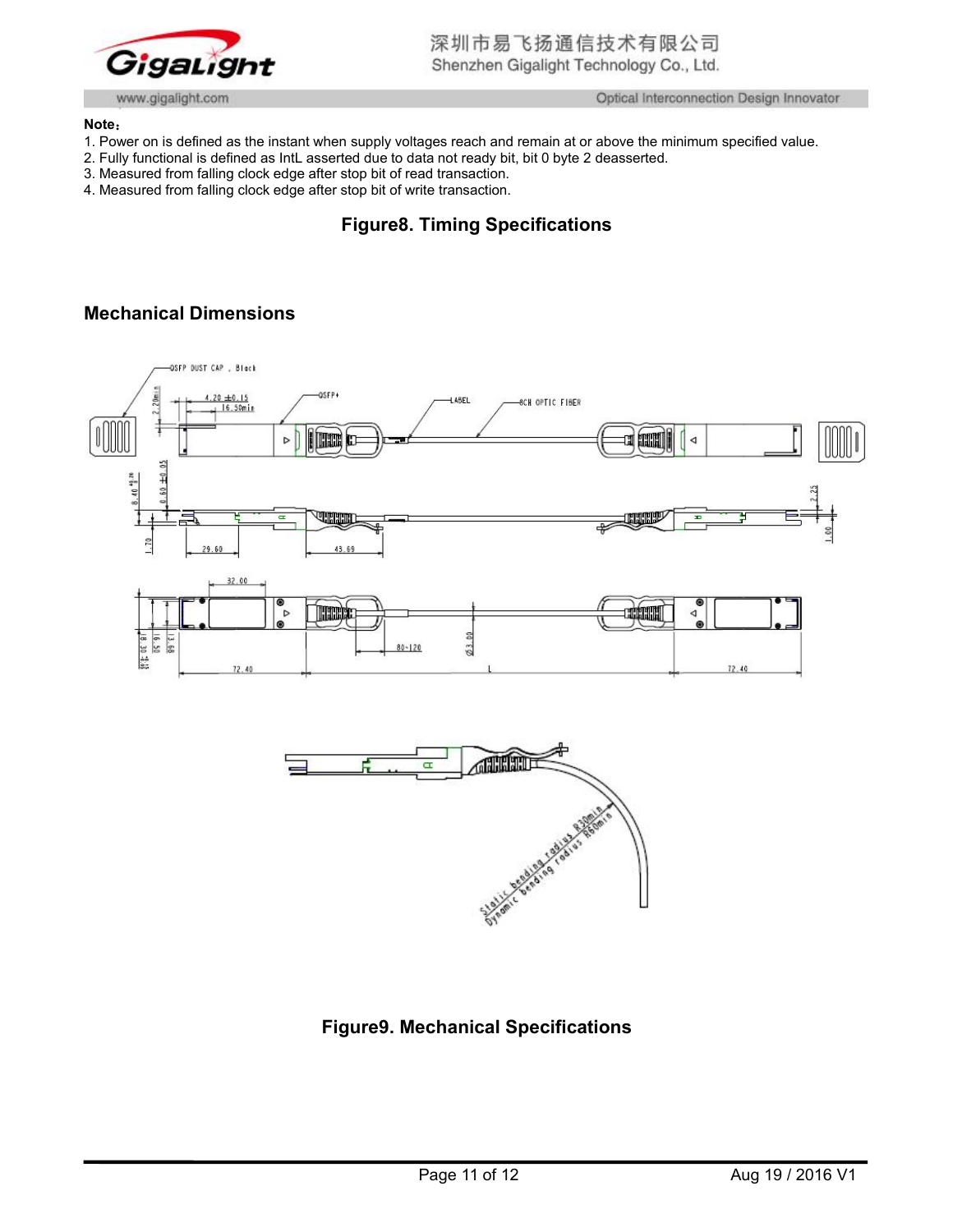

#### **Note**:

- 1. Power on is defined as the instant when supply voltages reach and remain at or above the minimum specified value.
- 2. Fully functional is defined as IntL asserted due to data not ready bit, bit 0 byte 2 deasserted.
- 3. Measured from falling clock edge after stop bit of read transaction.
- 4. Measured from falling clock edge after stop bit of write transaction.

# **Figure8. Timing Specifications**

# **Mechanical Dimensions**





# **Figure9. Mechanical Specifications**